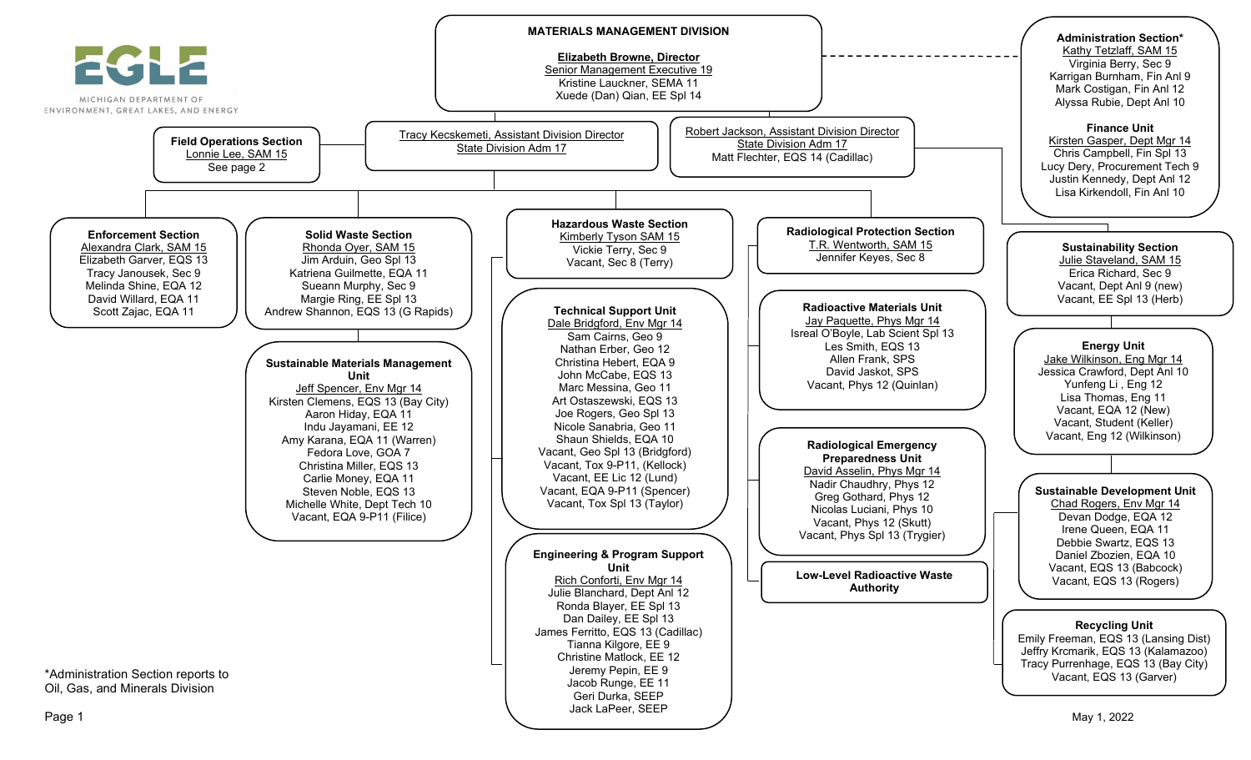